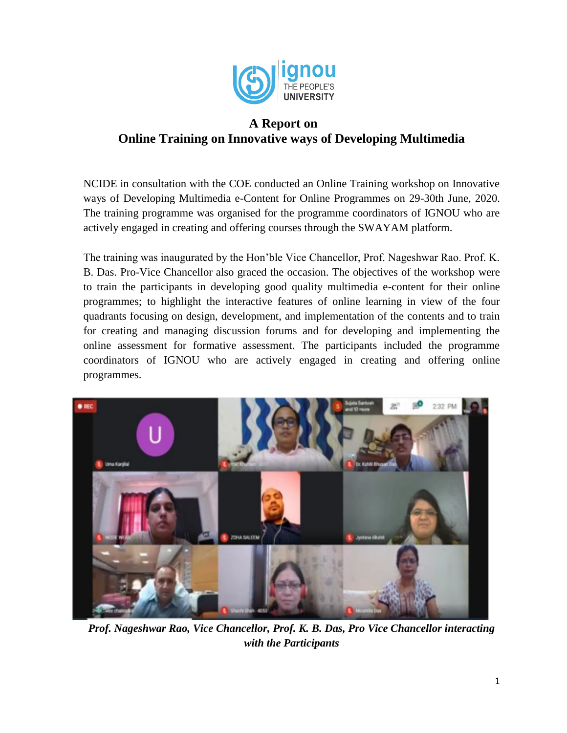

## **A Report on Online Training on Innovative ways of Developing Multimedia**

NCIDE in consultation with the COE conducted an Online Training workshop on Innovative ways of Developing Multimedia e-Content for Online Programmes on 29-30th June, 2020. The training programme was organised for the programme coordinators of IGNOU who are actively engaged in creating and offering courses through the SWAYAM platform.

The training was inaugurated by the Hon'ble Vice Chancellor, Prof. Nageshwar Rao. Prof. K. B. Das. Pro-Vice Chancellor also graced the occasion. The objectives of the workshop were to train the participants in developing good quality multimedia e-content for their online programmes; to highlight the interactive features of online learning in view of the four quadrants focusing on design, development, and implementation of the contents and to train for creating and managing discussion forums and for developing and implementing the online assessment for formative assessment. The participants included the programme coordinators of IGNOU who are actively engaged in creating and offering online programmes.



*Prof. Nageshwar Rao, Vice Chancellor, Prof. K. B. Das, Pro Vice Chancellor interacting with the Participants*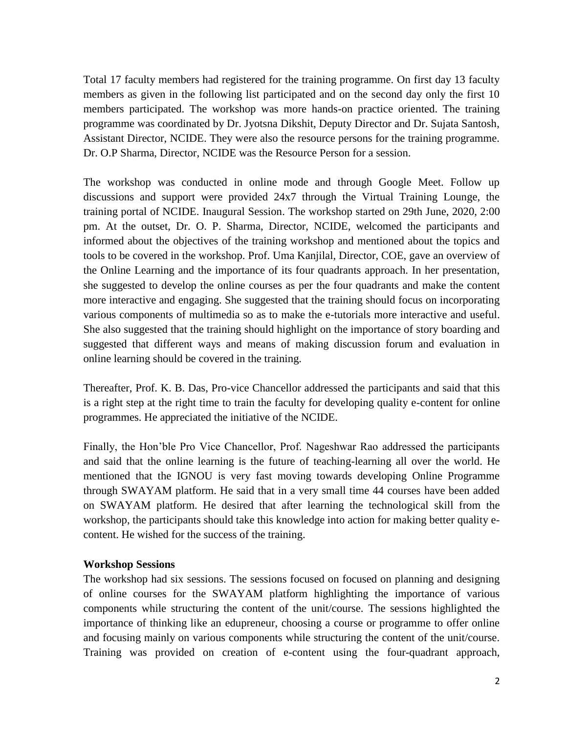Total 17 faculty members had registered for the training programme. On first day 13 faculty members as given in the following list participated and on the second day only the first 10 members participated. The workshop was more hands-on practice oriented. The training programme was coordinated by Dr. Jyotsna Dikshit, Deputy Director and Dr. Sujata Santosh, Assistant Director, NCIDE. They were also the resource persons for the training programme. Dr. O.P Sharma, Director, NCIDE was the Resource Person for a session.

The workshop was conducted in online mode and through Google Meet. Follow up discussions and support were provided 24x7 through the Virtual Training Lounge, the training portal of NCIDE. Inaugural Session. The workshop started on 29th June, 2020, 2:00 pm. At the outset, Dr. O. P. Sharma, Director, NCIDE, welcomed the participants and informed about the objectives of the training workshop and mentioned about the topics and tools to be covered in the workshop. Prof. Uma Kanjilal, Director, COE, gave an overview of the Online Learning and the importance of its four quadrants approach. In her presentation, she suggested to develop the online courses as per the four quadrants and make the content more interactive and engaging. She suggested that the training should focus on incorporating various components of multimedia so as to make the e-tutorials more interactive and useful. She also suggested that the training should highlight on the importance of story boarding and suggested that different ways and means of making discussion forum and evaluation in online learning should be covered in the training.

Thereafter, Prof. K. B. Das, Pro-vice Chancellor addressed the participants and said that this is a right step at the right time to train the faculty for developing quality e-content for online programmes. He appreciated the initiative of the NCIDE.

Finally, the Hon'ble Pro Vice Chancellor, Prof. Nageshwar Rao addressed the participants and said that the online learning is the future of teaching-learning all over the world. He mentioned that the IGNOU is very fast moving towards developing Online Programme through SWAYAM platform. He said that in a very small time 44 courses have been added on SWAYAM platform. He desired that after learning the technological skill from the workshop, the participants should take this knowledge into action for making better quality econtent. He wished for the success of the training.

## **Workshop Sessions**

The workshop had six sessions. The sessions focused on focused on planning and designing of online courses for the SWAYAM platform highlighting the importance of various components while structuring the content of the unit/course. The sessions highlighted the importance of thinking like an edupreneur, choosing a course or programme to offer online and focusing mainly on various components while structuring the content of the unit/course. Training was provided on creation of e-content using the four-quadrant approach,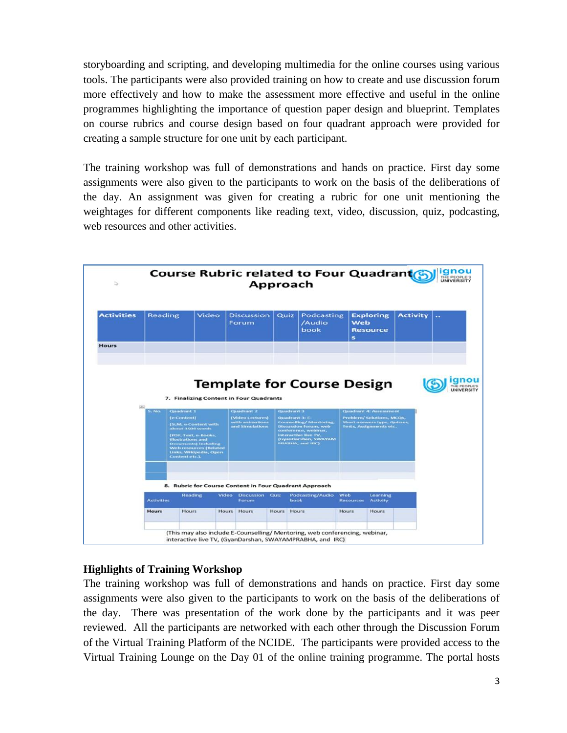storyboarding and scripting, and developing multimedia for the online courses using various tools. The participants were also provided training on how to create and use discussion forum more effectively and how to make the assessment more effective and useful in the online programmes highlighting the importance of question paper design and blueprint. Templates on course rubrics and course design based on four quadrant approach were provided for creating a sample structure for one unit by each participant.

The training workshop was full of demonstrations and hands on practice. First day some assignments were also given to the participants to work on the basis of the deliberations of the day. An assignment was given for creating a rubric for one unit mentioning the weightages for different components like reading text, video, discussion, quiz, podcasting, web resources and other activities.



## **Highlights of Training Workshop**

The training workshop was full of demonstrations and hands on practice. First day some assignments were also given to the participants to work on the basis of the deliberations of the day. There was presentation of the work done by the participants and it was peer reviewed. All the participants are networked with each other through the Discussion Forum of the Virtual Training Platform of the NCIDE. The participants were provided access to the Virtual Training Lounge on the Day 01 of the online training programme. The portal hosts